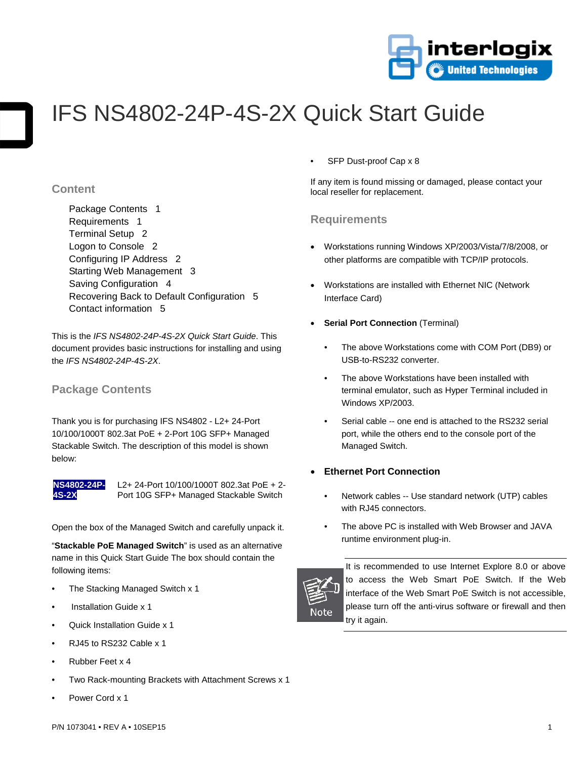

# IFS NS4802-24P-4S-2X Quick Start Guide

## **Content**

Package Contents 1 Requirements 1 Terminal Setup 2 Logon to Console 2 Configuring IP Address 2 Starting Web Management 3 Saving Configuration 4 Recovering Back to Default Configuration 5 Contact information 5

This is the *IFS NS4802-24P-4S-2X Quick Start Guide*. This document provides basic instructions for installing and using the *IFS NS4802-24P-4S-2X*.

## **Package Contents**

Thank you is for purchasing IFS NS4802 - L2+ 24-Port 10/100/1000T 802.3at PoE + 2-Port 10G SFP+ Managed Stackable Switch. The description of this model is shown below:



L2+ 24-Port 10/100/1000T 802.3at PoE + 2- Port 10G SFP+ Managed Stackable Switch

Open the box of the Managed Switch and carefully unpack it.

"**Stackable PoE Managed Switch**" is used as an alternative name in this Quick Start Guide The box should contain the following items:

- The Stacking Managed Switch x 1
- Installation Guide x 1
- Quick Installation Guide x 1
- RJ45 to RS232 Cable x 1
- Rubber Feet x 4
- Two Rack-mounting Brackets with Attachment Screws x 1
- Power Cord x 1

SFP Dust-proof Cap x 8

If any item is found missing or damaged, please contact your local reseller for replacement.

## **Requirements**

- Workstations running Windows XP/2003/Vista/7/8/2008, or other platforms are compatible with TCP/IP protocols.
- Workstations are installed with Ethernet NIC (Network Interface Card)
- **Serial Port Connection** (Terminal)
	- The above Workstations come with COM Port (DB9) or USB-to-RS232 converter.
	- The above Workstations have been installed with terminal emulator, such as Hyper Terminal included in Windows XP/2003.
	- Serial cable -- one end is attached to the RS232 serial port, while the others end to the console port of the Managed Switch.

#### • **Ethernet Port Connection**

- Network cables -- Use standard network (UTP) cables with RJ45 connectors.
- The above PC is installed with Web Browser and JAVA runtime environment plug-in.



It is recommended to use Internet Explore 8.0 or above to access the Web Smart PoE Switch. If the Web interface of the Web Smart PoE Switch is not accessible, please turn off the anti-virus software or firewall and then try it again.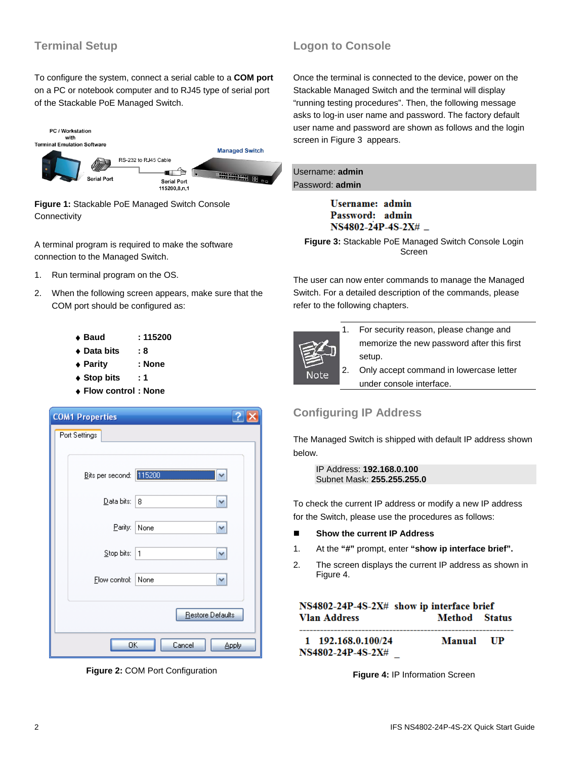# **Terminal Setup**

To configure the system, connect a serial cable to a **COM port** on a PC or notebook computer and to RJ45 type of serial port of the Stackable PoE Managed Switch.



**Figure 1:** Stackable PoE Managed Switch Console **Connectivity** 

A terminal program is required to make the software connection to the Managed Switch.

- 1. Run terminal program on the OS.
- 2. When the following screen appears, make sure that the COM port should be configured as:

| :115200 |
|---------|
| : 8     |
| : None  |
| : 1     |
|         |

♦ **Flow control : None** 

| <b>COM1 Properties</b>  |                  |
|-------------------------|------------------|
| Port Settings           |                  |
|                         |                  |
| Bits per second: 115200 |                  |
| Data bits:              | 8<br>٧           |
| Parity:                 | None<br>٧        |
| Stop bits:              | $\mathbf{1}$     |
| Flow control:           | None<br>v        |
|                         | Restore Defaults |
| OΚ                      | Cancel<br>Apply  |

**Figure 2:** COM Port Configuration

## **Logon to Console**

Once the terminal is connected to the device, power on the Stackable Managed Switch and the terminal will display "running testing procedures". Then, the following message asks to log-in user name and password. The factory default user name and password are shown as follows and the login screen in Figure 3 appears.

| Username: admin        |  |
|------------------------|--|
| Password: <b>admin</b> |  |

**Username:** admin Password: admin

 **Figure 3:** Stackable PoE Managed Switch Console Login Screen

The user can now enter commands to manage the Managed Switch. For a detailed description of the commands, please refer to the following chapters.



- 1. For security reason, please change and memorize the new password after this first setup.
- 2. Only accept command in lowercase letter under console interface.

# **Configuring IP Address**

The Managed Switch is shipped with default IP address shown below.

IP Address: **192.168.0.100** Subnet Mask: **255.255.255.0**

To check the current IP address or modify a new IP address for the Switch, please use the procedures as follows:

- Show the current IP Address
- 1. At the **"#"** prompt, enter **"show ip interface brief".**
- 2. The screen displays the current IP address as shown in Figure 4.

| NS4802-24P-4S-2X# show ip interface brief |                      |      |
|-------------------------------------------|----------------------|------|
| <b>Vlan Address</b>                       | <b>Method</b> Status |      |
| 1 192.168.0.100/24<br>NS4802-24P-4S-2X#   | Manual               | - UP |

**Figure 4:** IP Information Screen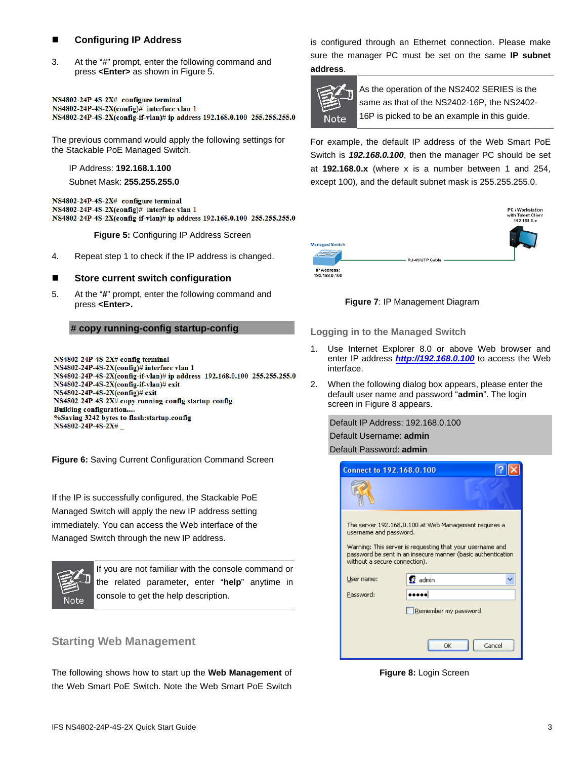### **Configuring IP Address**

3. At the "#" prompt, enter the following command and press **<Enter>** as shown in Figure 5.

NS4802-24P-4S-2X# configure terminal NS4802-24P-4S-2X(config)# interface vlan 1 NS4802-24P-4S-2X(config-if-vlan)# ip address 192.168.0.100 255.255.255.0

The previous command would apply the following settings for the Stackable PoE Managed Switch.

IP Address: **192.168.1.100**

Subnet Mask: **255.255.255.0**

NS4802-24P-4S-2X# configure terminal NS4802-24P-4S-2X(config)# interface vlan 1 NS4802-24P-4S-2X(config-if-vlan)# ip address 192.168.0.100 255.255.255.0

**Figure 5:** Configuring IP Address Screen

4. Repeat step 1 to check if the IP address is changed.

#### **Store current switch configuration**

5. At the "**#**" prompt, enter the following command and press **<Enter>.**

#### **# copy running-config startup-config**

NS4802-24P-4S-2X# config terminal NS4802-24P-4S-2X(config)# interface vlan 1 NS4802-24P-4S-2X(config-if-vlan)# ip address 192.168.0.100 255.255.255.0 NS4802-24P-4S-2X(config-if-vlan)# exit  $NS4802-24P-4S-2X$ (config)# exit NS4802-24P-4S-2X# copy running-config startup-config **Building configuration....** %Saving 3242 bytes to flash:startup.config NS4802-24P-4S-2X#\_

**Figure 6:** Saving Current Configuration Command Screen

If the IP is successfully configured, the Stackable PoE Managed Switch will apply the new IP address setting immediately. You can access the Web interface of the Managed Switch through the new IP address.



If you are not familiar with the console command or the related parameter, enter "**help**" anytime in console to get the help description.

## **Starting Web Management**

The following shows how to start up the **Web Management** of the Web Smart PoE Switch. Note the Web Smart PoE Switch

is configured through an Ethernet connection. Please make sure the manager PC must be set on the same **IP subnet address**.



As the operation of the NS2402 SERIES is the same as that of the NS2402-16P, the NS2402- 16P is picked to be an example in this guide.

For example, the default IP address of the Web Smart PoE Switch is *192.168.0.100*, then the manager PC should be set at **192.168.0.x** (where x is a number between 1 and 254, except 100), and the default subnet mask is 255.255.255.0.



**Figure 7**: IP Management Diagram

**Logging in to the Managed Switch** 

- 1. Use Internet Explorer 8.0 or above Web browser and enter IP address *[http://192.168.0.100](http://192.168.0.100/)* to access the Web interface.
- 2. When the following dialog box appears, please enter the default user name and password "**admin**". The login screen in Figure 8 appears.

Default IP Address: 192.168.0.100 Default Username: **admin**

Default Password: **admin**

| <b>Connect to 192.168.0.100</b>                         |                                                                                                                                                                                    |  |  |
|---------------------------------------------------------|------------------------------------------------------------------------------------------------------------------------------------------------------------------------------------|--|--|
|                                                         |                                                                                                                                                                                    |  |  |
| username and password.<br>without a secure connection). | The server 192.168.0.100 at Web Management requires a<br>Warning: This server is requesting that your username and<br>password be sent in an insecure manner (basic authentication |  |  |
| User name:                                              | ₹≹ admin                                                                                                                                                                           |  |  |
| Password:                                               |                                                                                                                                                                                    |  |  |
|                                                         | Remember my password                                                                                                                                                               |  |  |
|                                                         | Cancel<br>OK                                                                                                                                                                       |  |  |

**Figure 8:** Login Screen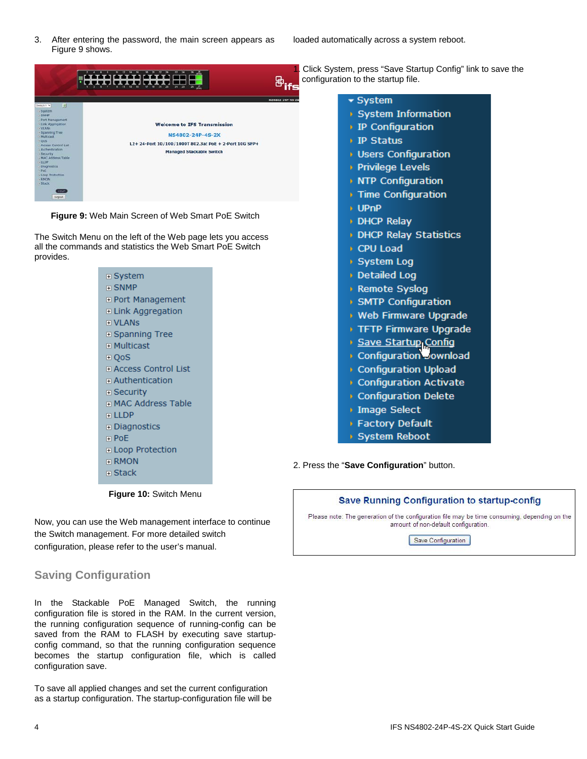3. After entering the password, the main screen appears as Figure 9 shows.

loaded automatically across a system reboot.



**Figure 9:** Web Main Screen of Web Smart PoE Switch

The Switch Menu on the left of the Web page lets you access all the commands and statistics the Web Smart PoE Switch provides.

| $\boxdot$ System              |
|-------------------------------|
| $\sqcap$ SNMP                 |
| ⊞ Port Management             |
| ⊞ Link Aggregation            |
| <b>FI VLANS</b>               |
| ⊞ Spanning Tree               |
| ⊞ Multicast                   |
| ⊞ QoS                         |
| ⊞ Access Control List         |
| $\blacksquare$ Authentication |
| $\boxplus$ Security           |
| <b>F MAC Address Table</b>    |
| ਜ LLDP                        |
| $\boxplus$ Diagnostics        |
| ਜ PoE                         |
| ⊞ Loop Protection             |
| $\boxdot$ RMON                |
| ਜ Stack                       |
|                               |

**Figure 10:** Switch Menu

Now, you can use the Web management interface to continue the Switch management. For more detailed switch configuration, please refer to the user's manual.

# **Saving Configuration**

In the Stackable PoE Managed Switch, the running configuration file is stored in the RAM. In the current version, the running configuration sequence of running-config can be saved from the RAM to FLASH by executing save startupconfig command, so that the running configuration sequence becomes the startup configuration file, which is called configuration save.

To save all applied changes and set the current configuration as a startup configuration. The startup-configuration file will be

1. Click System, press "Save Startup Config" link to save the configuration to the startup file.

#### $\blacktriangleright$  System

- System Information
- ↑ IP Configuration
- ▶ IP Status
- **Users Configuration**
- **Privilege Levels**
- **NTP Configuration**
- Time Configuration
- **DPnP**
- **DHCP Relay**
- **DHCP Relay Statistics**
- CPU Load
- ▶ System Log
- Detailed Log
- Remote Syslog
- > SMTP Configuration
- **Web Firmware Upgrade**
- TFTP Firmware Upgrade
- Save Startup<sub>l</sub>Config
- Configuration Jownload
- Configuration Upload
- Configuration Activate
- Configuration Delete
- **Image Select**
- **Factory Default**
- System Reboot

2. Press the "**Save Configuration**" button.

## Save Running Configuration to startup-config

Please note: The generation of the configuration file may be time consuming, depending on the amount of non-default configuration.

Save Configuration